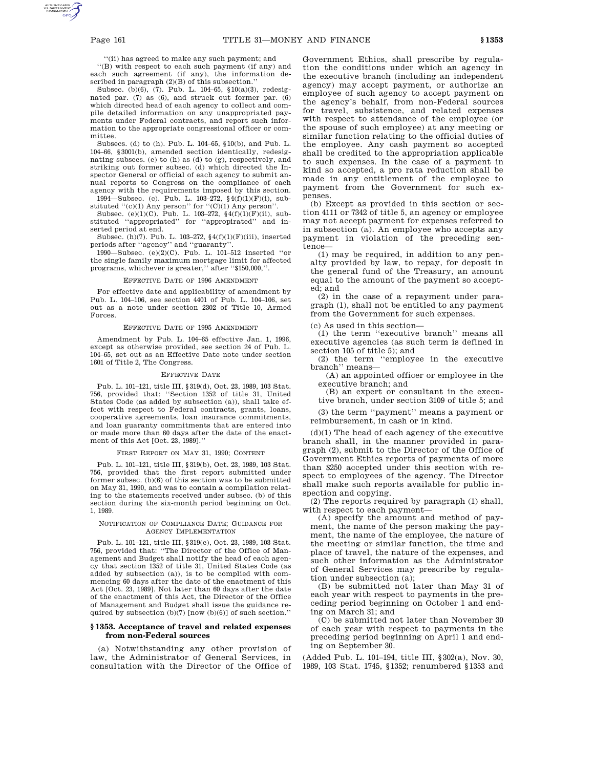''(ii) has agreed to make any such payment; and

''(B) with respect to each such payment (if any) and each such agreement (if any), the information described in paragraph (2)(B) of this subsection.''

Subsec. (b)(6), (7). Pub. L. 104–65, §10(a)(3), redesignated par. (7) as (6), and struck out former par. (6) which directed head of each agency to collect and compile detailed information on any unappropriated payments under Federal contracts, and report such information to the appropriate congressional officer or committee.

Subsecs. (d) to (h). Pub. L. 104–65, §10(b), and Pub. L. 104–66, §3001(b), amended section identically, redesignating subsecs. (e) to (h) as (d) to (g), respectively, and striking out former subsec. (d) which directed the Inspector General or official of each agency to submit annual reports to Congress on the compliance of each agency with the requirements imposed by this section. 1994—Subsec. (c). Pub. L. 103–272, §4(f)(1)(F)(i), sub-

stituted ''(c)(1) Any person'' for ''(C)(1) Any person'

Subsec. (e)(1)(C). Pub. L. 103–272, §4(f)(1)(F)(ii), substituted ''appropriated'' for ''appropirated'' and inserted period at end.

Subsec. (h)(7). Pub. L. 103–272, §4(f)(1)(F)(iii), inserted periods after ''agency'' and ''guaranty''.

1990—Subsec. (e)(2)(C). Pub. L. 101–512 inserted ''or the single family maximum mortgage limit for affected programs, whichever is greater,'' after ''\$150,000,''.

#### EFFECTIVE DATE OF 1996 AMENDMENT

For effective date and applicability of amendment by Pub. L. 104–106, see section 4401 of Pub. L. 104–106, set out as a note under section 2302 of Title 10, Armed Forces.

#### EFFECTIVE DATE OF 1995 AMENDMENT

Amendment by Pub. L. 104–65 effective Jan. 1, 1996, except as otherwise provided, see section 24 of Pub. L. 104–65, set out as an Effective Date note under section 1601 of Title 2, The Congress.

#### EFFECTIVE DATE

Pub. L. 101–121, title III, §319(d), Oct. 23, 1989, 103 Stat. 756, provided that: ''Section 1352 of title 31, United States Code (as added by subsection (a)), shall take effect with respect to Federal contracts, grants, loans, cooperative agreements, loan insurance commitments, and loan guaranty commitments that are entered into or made more than 60 days after the date of the enactment of this Act [Oct. 23, 1989].''

### FIRST REPORT ON MAY 31, 1990; CONTENT

Pub. L. 101–121, title III, §319(b), Oct. 23, 1989, 103 Stat. 756, provided that the first report submitted under former subsec. (b)(6) of this section was to be submitted on May 31, 1990, and was to contain a compilation relating to the statements received under subsec. (b) of this section during the six-month period beginning on Oct. 1, 1989.

### NOTIFICATION OF COMPLIANCE DATE; GUIDANCE FOR AGENCY IMPLEMENTATION

Pub. L. 101–121, title III, §319(c), Oct. 23, 1989, 103 Stat. 756, provided that: ''The Director of the Office of Management and Budget shall notify the head of each agency that section 1352 of title 31, United States Code (as added by subsection (a)), is to be complied with commencing 60 days after the date of the enactment of this Act [Oct. 23, 1989]. Not later than 60 days after the date of the enactment of this Act, the Director of the Office of Management and Budget shall issue the guidance required by subsection (b)(7) [now (b)(6)] of such section.''

### **§ 1353. Acceptance of travel and related expenses from non-Federal sources**

(a) Notwithstanding any other provision of law, the Administrator of General Services, in consultation with the Director of the Office of Government Ethics, shall prescribe by regulation the conditions under which an agency in the executive branch (including an independent agency) may accept payment, or authorize an employee of such agency to accept payment on the agency's behalf, from non-Federal sources for travel, subsistence, and related expenses with respect to attendance of the employee (or the spouse of such employee) at any meeting or similar function relating to the official duties of the employee. Any cash payment so accepted shall be credited to the appropriation applicable to such expenses. In the case of a payment in kind so accepted, a pro rata reduction shall be made in any entitlement of the employee to payment from the Government for such expenses.

(b) Except as provided in this section or section 4111 or 7342 of title 5, an agency or employee may not accept payment for expenses referred to in subsection (a). An employee who accepts any payment in violation of the preceding sentence—

(1) may be required, in addition to any penalty provided by law, to repay, for deposit in the general fund of the Treasury, an amount equal to the amount of the payment so accepted; and

(2) in the case of a repayment under paragraph (1), shall not be entitled to any payment from the Government for such expenses.

(c) As used in this section—

(1) the term ''executive branch'' means all executive agencies (as such term is defined in section 105 of title 5); and

(2) the term ''employee in the executive branch'' means—

(A) an appointed officer or employee in the executive branch; and

(B) an expert or consultant in the executive branch, under section 3109 of title 5; and

(3) the term ''payment'' means a payment or reimbursement, in cash or in kind.

 $(d)(1)$  The head of each agency of the executive branch shall, in the manner provided in paragraph (2), submit to the Director of the Office of Government Ethics reports of payments of more than \$250 accepted under this section with respect to employees of the agency. The Director shall make such reports available for public inspection and copying.

(2) The reports required by paragraph (1) shall, with respect to each payment—

(A) specify the amount and method of payment, the name of the person making the payment, the name of the employee, the nature of the meeting or similar function, the time and place of travel, the nature of the expenses, and such other information as the Administrator of General Services may prescribe by regulation under subsection (a);

(B) be submitted not later than May 31 of each year with respect to payments in the preceding period beginning on October 1 and ending on March 31; and

(C) be submitted not later than November 30 of each year with respect to payments in the preceding period beginning on April 1 and ending on September 30.

(Added Pub. L. 101–194, title III, §302(a), Nov. 30, 1989, 103 Stat. 1745, §1352; renumbered §1353 and